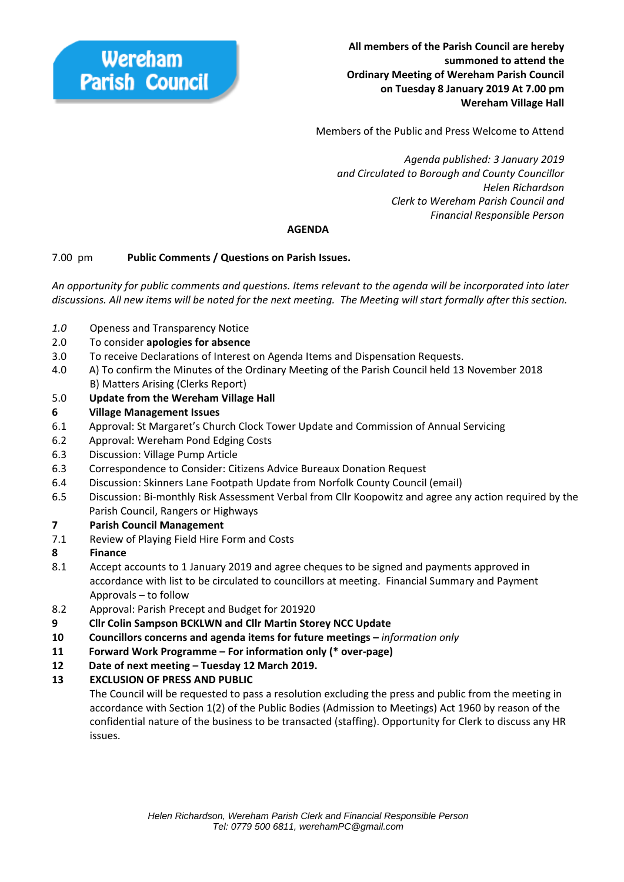Members of the Public and Press Welcome to Attend

 *Agenda published: 3 January 2019 and Circulated to Borough and County Councillor Helen Richardson Clerk to Wereham Parish Council and Financial Responsible Person* 

## **AGENDA**

## 7.00 pm **Public Comments / Questions on Parish Issues.**

*An opportunity for public comments and questions. Items relevant to the agenda will be incorporated into later discussions. All new items will be noted for the next meeting. The Meeting will start formally after this section.* 

- *1.0* Openess and Transparency Notice
- 2.0 To consider **apologies for absence**
- 3.0 To receive Declarations of Interest on Agenda Items and Dispensation Requests.
- 4.0 A) To confirm the Minutes of the Ordinary Meeting of the Parish Council held 13 November 2018 B) Matters Arising (Clerks Report)
- 5.0 **Update from the Wereham Village Hall**

#### **6 Village Management Issues**

- 6.1 Approval: St Margaret's Church Clock Tower Update and Commission of Annual Servicing
- 6.2 Approval: Wereham Pond Edging Costs
- 6.3 Discussion: Village Pump Article
- 6.3 Correspondence to Consider: Citizens Advice Bureaux Donation Request
- 6.4 Discussion: Skinners Lane Footpath Update from Norfolk County Council (email)
- 6.5 Discussion: Bi‐monthly Risk Assessment Verbal from Cllr Koopowitz and agree any action required by the Parish Council, Rangers or Highways

#### **7 Parish Council Management**

7.1 Review of Playing Field Hire Form and Costs

#### **8 Finance**

- 8.1 Accept accounts to 1 January 2019 and agree cheques to be signed and payments approved in accordance with list to be circulated to councillors at meeting. Financial Summary and Payment Approvals – to follow
- 8.2 Approval: Parish Precept and Budget for 201920
- **9 Cllr Colin Sampson BCKLWN and Cllr Martin Storey NCC Update**
- **10 Councillors concerns and agenda items for future meetings** *information only*
- **11 Forward Work Programme For information only (\* over‐page)**
- **12 Date of next meeting Tuesday 12 March 2019.**

# **13 EXCLUSION OF PRESS AND PUBLIC**

The Council will be requested to pass a resolution excluding the press and public from the meeting in accordance with Section 1(2) of the Public Bodies (Admission to Meetings) Act 1960 by reason of the confidential nature of the business to be transacted (staffing). Opportunity for Clerk to discuss any HR issues.